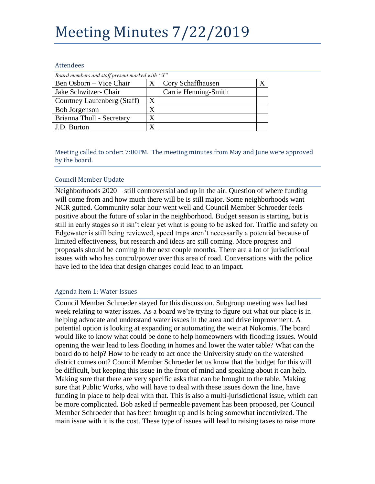# Meeting Minutes 7/22/2019

#### Attendees

| Board members and staff present marked with "X" |                   |                      |  |
|-------------------------------------------------|-------------------|----------------------|--|
| Ben Osborn – Vice Chair                         |                   | Cory Schaffhausen    |  |
| Jake Schwitzer- Chair                           |                   | Carrie Henning-Smith |  |
| Courtney Laufenberg (Staff)                     | X                 |                      |  |
| <b>Bob Jorgenson</b>                            | X                 |                      |  |
| Brianna Thull - Secretary                       | $\rm\overline{X}$ |                      |  |
| J.D. Burton                                     |                   |                      |  |

Meeting called to order: 7:00PM. The meeting minutes from May and June were approved by the board.

# Council Member Update

Neighborhoods 2020 – still controversial and up in the air. Question of where funding will come from and how much there will be is still major. Some neighborhoods want NCR gutted. Community solar hour went well and Council Member Schroeder feels positive about the future of solar in the neighborhood. Budget season is starting, but is still in early stages so it isn't clear yet what is going to be asked for. Traffic and safety on Edgewater is still being reviewed, speed traps aren't necessarily a potential because of limited effectiveness, but research and ideas are still coming. More progress and proposals should be coming in the next couple months. There are a lot of jurisdictional issues with who has control/power over this area of road. Conversations with the police have led to the idea that design changes could lead to an impact.

# Agenda Item 1: Water Issues

Council Member Schroeder stayed for this discussion. Subgroup meeting was had last week relating to water issues. As a board we're trying to figure out what our place is in helping advocate and understand water issues in the area and drive improvement. A potential option is looking at expanding or automating the weir at Nokomis. The board would like to know what could be done to help homeowners with flooding issues. Would opening the weir lead to less flooding in homes and lower the water table? What can the board do to help? How to be ready to act once the University study on the watershed district comes out? Council Member Schroeder let us know that the budget for this will be difficult, but keeping this issue in the front of mind and speaking about it can help. Making sure that there are very specific asks that can be brought to the table. Making sure that Public Works, who will have to deal with these issues down the line, have funding in place to help deal with that. This is also a multi-jurisdictional issue, which can be more complicated. Bob asked if permeable pavement has been proposed, per Council Member Schroeder that has been brought up and is being somewhat incentivized. The main issue with it is the cost. These type of issues will lead to raising taxes to raise more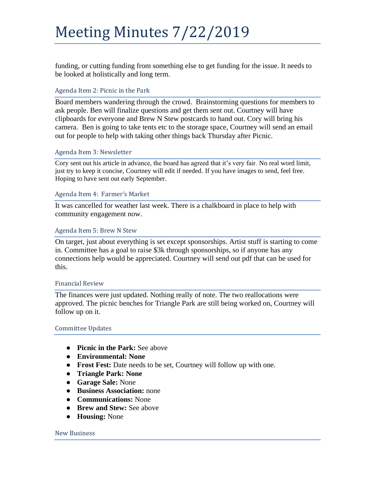# Meeting Minutes 7/22/2019

funding, or cutting funding from something else to get funding for the issue. It needs to be looked at holistically and long term.

# Agenda Item 2: Picnic in the Park

Board members wandering through the crowd. Brainstorming questions for members to ask people. Ben will finalize questions and get them sent out. Courtney will have clipboards for everyone and Brew N Stew postcards to hand out. Cory will bring his camera. Ben is going to take tents etc to the storage space, Courtney will send an email out for people to help with taking other things back Thursday after Picnic.

# Agenda Item 3: Newsletter

Cory sent out his article in advance, the board has agreed that it's very fair. No real word limit, just try to keep it concise, Courtney will edit if needed. If you have images to send, feel free. Hoping to have sent out early September.

### Agenda Item 4: Farmer's Market

It was cancelled for weather last week. There is a chalkboard in place to help with community engagement now.

### Agenda Item 5: Brew N Stew

On target, just about everything is set except sponsorships. Artist stuff is starting to come in. Committee has a goal to raise \$3k through sponsorships, so if anyone has any connections help would be appreciated. Courtney will send out pdf that can be used for this.

#### Financial Review

The finances were just updated. Nothing really of note. The two reallocations were approved. The picnic benches for Triangle Park are still being worked on, Courtney will follow up on it.

#### Committee Updates

- **Picnic in the Park:** See above
- **Environmental: None**
- **Frost Fest:** Date needs to be set, Courtney will follow up with one.
- **Triangle Park: None**
- **Garage Sale:** None
- **Business Association:** none
- **Communications:** None
- **Brew and Stew:** See above
- **Housing:** None

#### New Business